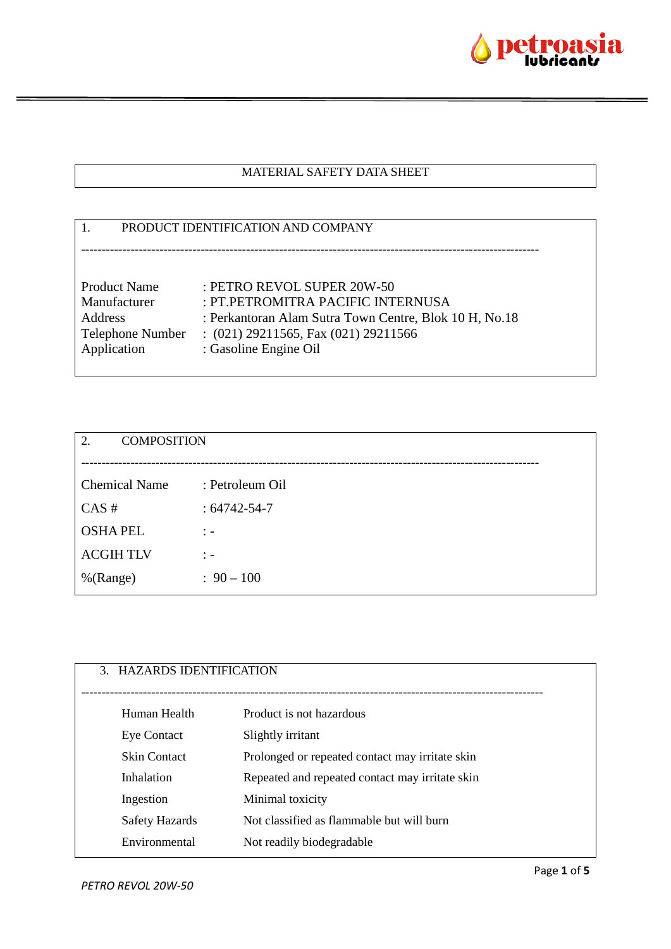

# MATERIAL SAFETY DATA SHEET

|                     | PRODUCT IDENTIFICATION AND COMPANY                     |
|---------------------|--------------------------------------------------------|
|                     |                                                        |
| <b>Product Name</b> | : PETRO REVOL SUPER 20W-50                             |
| Manufacturer        | : PT.PETROMITRA PACIFIC INTERNUSA                      |
| Address             | : Perkantoran Alam Sutra Town Centre, Blok 10 H, No.18 |
| Telephone Number    | $(021)$ 29211565, Fax $(021)$ 29211566                 |
| Application         | : Gasoline Engine Oil                                  |
|                     |                                                        |

| <b>COMPOSITION</b><br>2. |                                  |
|--------------------------|----------------------------------|
|                          |                                  |
| <b>Chemical Name</b>     | : Petroleum Oil                  |
| CAS#                     | $: 64742 - 54 - 7$               |
| <b>OSHAPEL</b>           | $\ddot{ }$ $\ddot{ }$ $\ddot{ }$ |
| <b>ACGIHTLV</b>          | $\frac{1}{2}$ $\frac{1}{2}$      |
| %(Range)                 | $: 90 - 100$                     |
|                          |                                  |

| 3. HAZARDS IDENTIFICATION |                                                 |
|---------------------------|-------------------------------------------------|
| Human Health              | Product is not hazardous                        |
| <b>Eye Contact</b>        | Slightly irritant                               |
| <b>Skin Contact</b>       | Prolonged or repeated contact may irritate skin |
| Inhalation                | Repeated and repeated contact may irritate skin |
| Ingestion                 | Minimal toxicity                                |
| Safety Hazards            | Not classified as flammable but will burn       |
| Environmental             | Not readily biodegradable                       |
|                           |                                                 |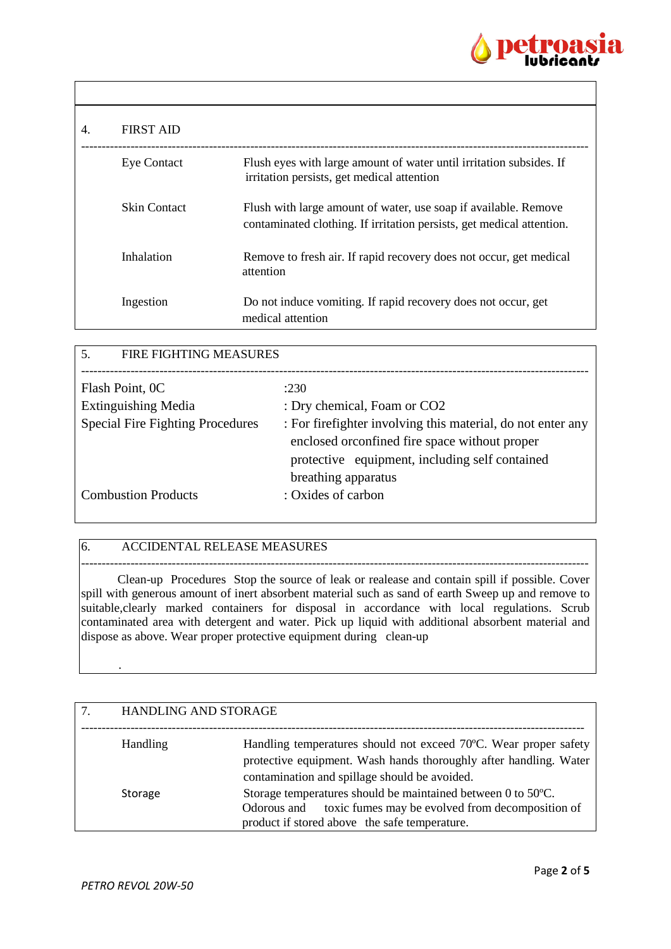

| 4. | <b>FIRST AID</b>    |                                                                                                                                          |
|----|---------------------|------------------------------------------------------------------------------------------------------------------------------------------|
|    | <b>Eye Contact</b>  | Flush eyes with large amount of water until irritation subsides. If<br>irritation persists, get medical attention                        |
|    | <b>Skin Contact</b> | Flush with large amount of water, use soap if available. Remove<br>contaminated clothing. If irritation persists, get medical attention. |
|    | Inhalation          | Remove to fresh air. If rapid recovery does not occur, get medical<br>attention                                                          |
|    | Ingestion           | Do not induce vomiting. If rapid recovery does not occur, get<br>medical attention                                                       |

| 5.<br><b>FIRE FIGHTING MEASURES</b>     |                                                              |
|-----------------------------------------|--------------------------------------------------------------|
|                                         |                                                              |
| Flash Point, 0C                         | :230                                                         |
| <b>Extinguishing Media</b>              | : Dry chemical, Foam or CO2                                  |
| <b>Special Fire Fighting Procedures</b> | : For fire fighter involving this material, do not enter any |
|                                         | enclosed or confined fire space without proper               |
|                                         | protective equipment, including self contained               |
|                                         | breathing apparatus                                          |
| <b>Combustion Products</b>              | : Oxides of carbon                                           |
|                                         |                                                              |

### 6. ACCIDENTAL RELEASE MEASURES

--------------------------------------------------------------------------------------------------------------------------- Clean-up Procedures Stop the source of leak or realease and contain spill if possible. Cover spill with generous amount of inert absorbent material such as sand of earth Sweep up and remove to suitable, clearly marked containers for disposal in accordance with local regulations. Scrub contaminated area with detergent and water. Pick up liquid with additional absorbent material and dispose as above. Wear proper protective equipment during clean-up

| <b>HANDLING AND STORAGE</b> |                                                                                                                                                                                        |
|-----------------------------|----------------------------------------------------------------------------------------------------------------------------------------------------------------------------------------|
| <b>Handling</b>             | Handling temperatures should not exceed 70°C. Wear proper safety<br>protective equipment. Wash hands thoroughly after handling. Water<br>contamination and spillage should be avoided. |
| Storage                     | Storage temperatures should be maintained between 0 to 50°C.<br>toxic fumes may be evolved from decomposition of<br>Odorous and<br>product if stored above the safe temperature.       |

.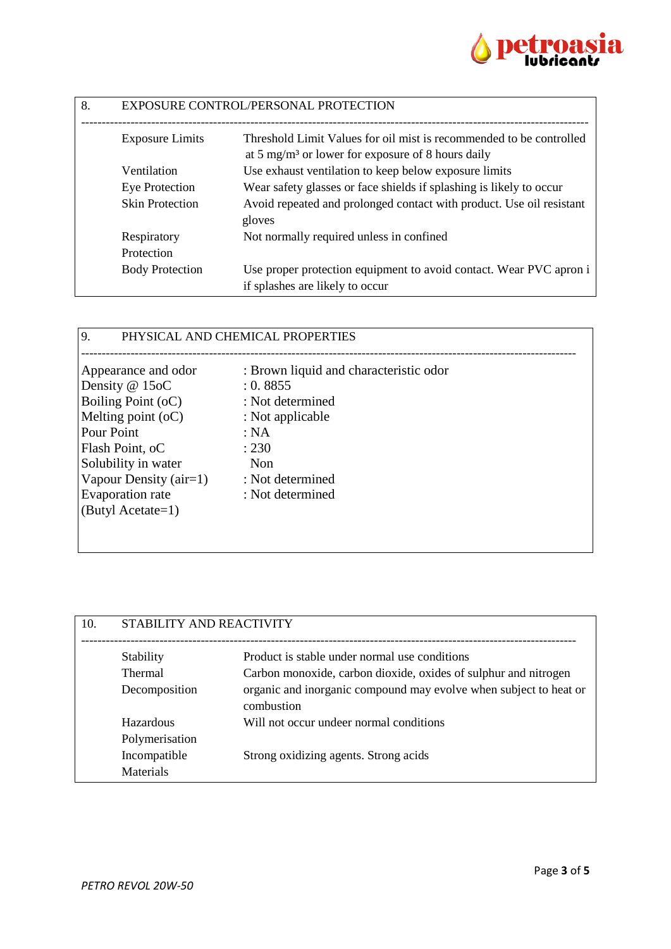

| 8. | EXPOSURE CONTROL/PERSONAL PROTECTION |                                                                                                                                      |
|----|--------------------------------------|--------------------------------------------------------------------------------------------------------------------------------------|
|    | <b>Exposure Limits</b>               | Threshold Limit Values for oil mist is recommended to be controlled<br>at 5 mg/m <sup>3</sup> or lower for exposure of 8 hours daily |
|    | Ventilation                          | Use exhaust ventilation to keep below exposure limits                                                                                |
|    | Eye Protection                       | Wear safety glasses or face shields if splashing is likely to occur                                                                  |
|    | <b>Skin Protection</b>               | Avoid repeated and prolonged contact with product. Use oil resistant<br>gloves                                                       |
|    | Respiratory                          | Not normally required unless in confined                                                                                             |
|    | Protection                           |                                                                                                                                      |
|    | <b>Body Protection</b>               | Use proper protection equipment to avoid contact. Wear PVC apron i<br>if splashes are likely to occur                                |

## 9. PHYSICAL AND CHEMICAL PROPERTIES

| Appearance and odor      | : Brown liquid and characteristic odor |
|--------------------------|----------------------------------------|
| Density @ 15oC           | : 0.8855                               |
| Boiling Point (oC)       | : Not determined                       |
| Melting point $(oC)$     | : Not applicable                       |
| Pour Point               | : NA                                   |
| Flash Point, oC          | : 230                                  |
| Solubility in water      | <b>Non</b>                             |
| Vapour Density $(air=1)$ | : Not determined                       |
| <b>Evaporation</b> rate  | : Not determined                       |
| (Butyl Acetate=1)        |                                        |
|                          |                                        |

| 10. | STABILITY AND REACTIVITY |                                                                                 |
|-----|--------------------------|---------------------------------------------------------------------------------|
|     | Stability                | Product is stable under normal use conditions                                   |
|     | <b>Thermal</b>           | Carbon monoxide, carbon dioxide, oxides of sulphur and nitrogen                 |
|     | Decomposition            | organic and inorganic compound may evolve when subject to heat or<br>combustion |
|     | Hazardous                | Will not occur undeer normal conditions                                         |
|     | Polymerisation           |                                                                                 |
|     | Incompatible             | Strong oxidizing agents. Strong acids                                           |
|     | <b>Materials</b>         |                                                                                 |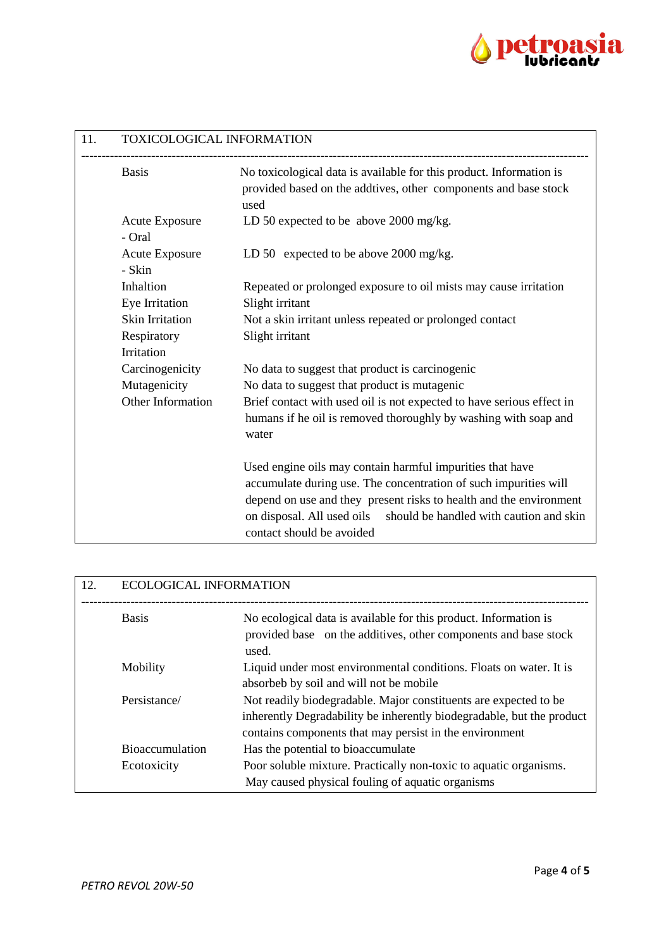

| 11. | TOXICOLOGICAL INFORMATION       |                                                                                                                                                                                                                                                                                                        |
|-----|---------------------------------|--------------------------------------------------------------------------------------------------------------------------------------------------------------------------------------------------------------------------------------------------------------------------------------------------------|
|     | <b>Basis</b>                    | No toxicological data is available for this product. Information is<br>provided based on the addtives, other components and base stock<br>used                                                                                                                                                         |
|     | <b>Acute Exposure</b><br>- Oral | LD 50 expected to be above 2000 mg/kg.                                                                                                                                                                                                                                                                 |
|     | <b>Acute Exposure</b><br>- Skin | LD 50 expected to be above 2000 mg/kg.                                                                                                                                                                                                                                                                 |
|     | Inhaltion<br>Eye Irritation     | Repeated or prolonged exposure to oil mists may cause irritation<br>Slight irritant                                                                                                                                                                                                                    |
|     | <b>Skin Irritation</b>          | Not a skin irritant unless repeated or prolonged contact                                                                                                                                                                                                                                               |
|     | Respiratory                     | Slight irritant                                                                                                                                                                                                                                                                                        |
|     | Irritation                      |                                                                                                                                                                                                                                                                                                        |
|     | Carcinogenicity                 | No data to suggest that product is carcinogenic                                                                                                                                                                                                                                                        |
|     | Mutagenicity                    | No data to suggest that product is mutagenic                                                                                                                                                                                                                                                           |
|     | Other Information               | Brief contact with used oil is not expected to have serious effect in<br>humans if he oil is removed thoroughly by washing with soap and<br>water                                                                                                                                                      |
|     |                                 | Used engine oils may contain harmful impurities that have<br>accumulate during use. The concentration of such impurities will<br>depend on use and they present risks to health and the environment<br>on disposal. All used oils should be handled with caution and skin<br>contact should be avoided |

| 12. | <b>ECOLOGICAL INFORMATION</b> |                                                                                                                                                                                                      |
|-----|-------------------------------|------------------------------------------------------------------------------------------------------------------------------------------------------------------------------------------------------|
|     | <b>Basis</b>                  | No ecological data is available for this product. Information is<br>provided base on the additives, other components and base stock<br>used.                                                         |
|     | Mobility                      | Liquid under most environmental conditions. Floats on water. It is<br>absorbeb by soil and will not be mobile                                                                                        |
|     | Persistance/                  | Not readily biodegradable. Major constituents are expected to be<br>inherently Degradability be inherently biodegradable, but the product<br>contains components that may persist in the environment |
|     | <b>Bioaccumulation</b>        | Has the potential to bioaccumulate                                                                                                                                                                   |
|     | Ecotoxicity                   | Poor soluble mixture. Practically non-toxic to aquatic organisms.<br>May caused physical fouling of aquatic organisms                                                                                |